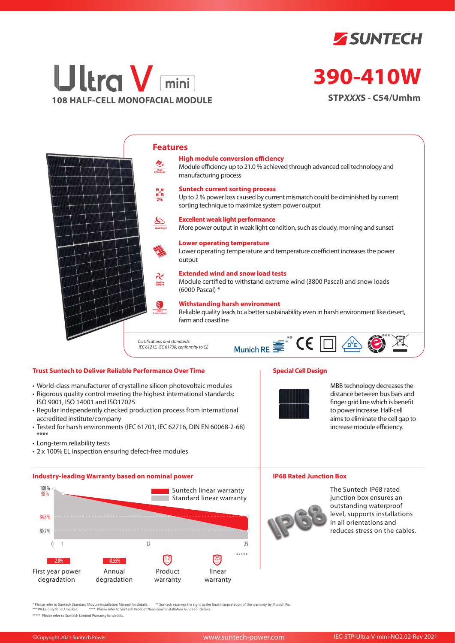



# **390-410W**

**STP***XXX***S - C54/Umhm**



## **Trust Suntech to Deliver Reliable Performance Over Time**

- World-class manufacturer of crystalline silicon photovoltaic modules
- Rigorous quality control meeting the highest international standards: ISO 9001, ISO 14001 and ISO17025
- Regular independently checked production process from international accredited institute/company
- Tested for harsh environments (IEC 61701, IEC 62716, DIN EN 60068-2-68) \*\*\*\*
- Long-term reliability tests
- 2 x 100% EL inspection ensuring defect-free modules

#### **Industry-leading Warranty based on nominal power**



# **Special Cell Design**



MBB technology decreases the distance between bus bars and finger grid line which is benefit to power increase. Half-cell aims to eliminate the cell gap to increase module efficiency.

#### **IP68 Rated Junction Box**



The Suntech IP68 rated junction box ensures an outstanding waterproof level, supports installations in all orientations and reduces stress on the cables.

\* Please refer to Suntech Standard Module Installation Manual for details. \*\* Suntech reserves the right to the final interpretation of the warranty by Munich Re.<br>\*\*\* WEEE only for EU market. \*\*\*\* Please refer to Suntech P

\*\*\*\*\* Please refer to Suntech Limited Warranty for details